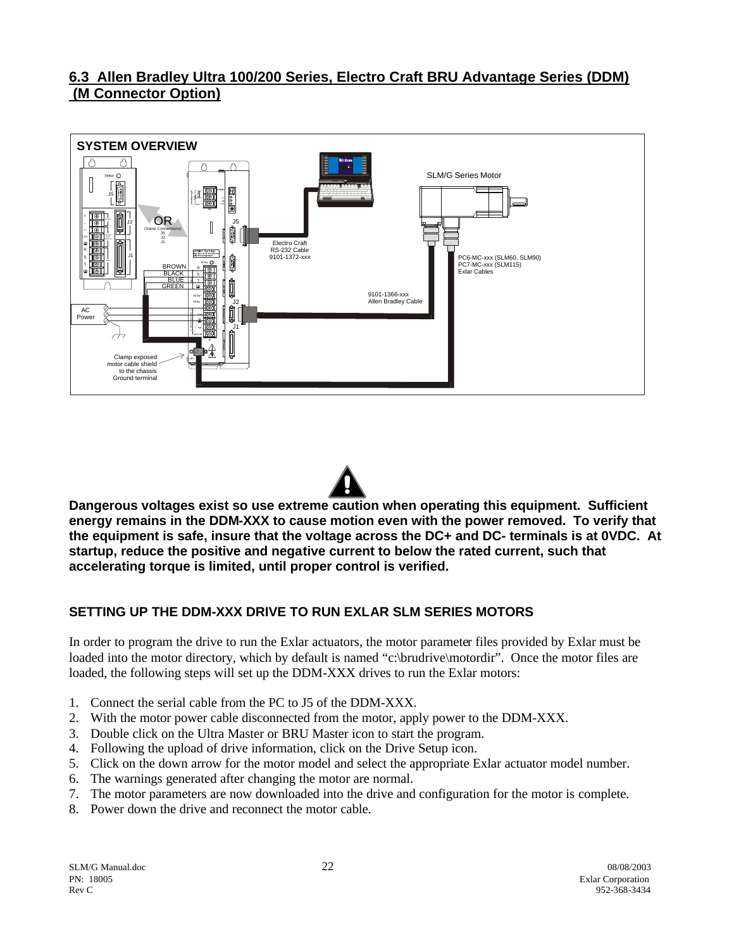## **6.3 Allen Bradley Ultra 100/200 Series, Electro Craft BRU Advantage Series (DDM) (M Connector Option)**





**Dangerous voltages exist so use extreme caution when operating this equipment. Sufficient energy remains in the DDM-XXX to cause motion even with the power removed. To verify that the equipment is safe, insure that the voltage across the DC+ and DC- terminals is at 0VDC. At startup, reduce the positive and negative current to below the rated current, such that accelerating torque is limited, until proper control is verified.**

## **SETTING UP THE DDM-XXX DRIVE TO RUN EXLAR SLM SERIES MOTORS**

In order to program the drive to run the Exlar actuators, the motor parameter files provided by Exlar must be loaded into the motor directory, which by default is named "c:\brudrive\motordir". Once the motor files are loaded, the following steps will set up the DDM-XXX drives to run the Exlar motors:

- 1. Connect the serial cable from the PC to J5 of the DDM-XXX.
- 2. With the motor power cable disconnected from the motor, apply power to the DDM-XXX.
- 3. Double click on the Ultra Master or BRU Master icon to start the program.
- 4. Following the upload of drive information, click on the Drive Setup icon.
- 5. Click on the down arrow for the motor model and select the appropriate Exlar actuator model number.
- 6. The warnings generated after changing the motor are normal.
- 7. The motor parameters are now downloaded into the drive and configuration for the motor is complete.
- 8. Power down the drive and reconnect the motor cable.